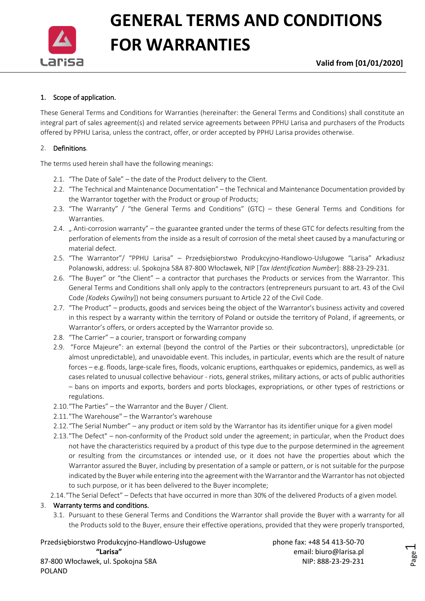

**Valid from [01/01/2020]**

### 1. Scope of application.

These General Terms and Conditions for Warranties (hereinafter: the General Terms and Conditions) shall constitute an integral part of sales agreement(s) and related service agreements between PPHU Larisa and purchasers of the Products offered by PPHU Larisa, unless the contract, offer, or order accepted by PPHU Larisa provides otherwise.

#### 2. Definitions.

The terms used herein shall have the following meanings:

- 2.1. "The Date of Sale" the date of the Product delivery to the Client.
- 2.2. "The Technical and Maintenance Documentation" the Technical and Maintenance Documentation provided by the Warrantor together with the Product or group of Products;
- 2.3. "The Warranty" / "the General Terms and Conditions" (GTC) these General Terms and Conditions for Warranties.
- 2.4. " Anti-corrosion warranty" the guarantee granted under the terms of these GTC for defects resulting from the perforation of elements from the inside as a result of corrosion of the metal sheet caused by a manufacturing or material defect.
- 2.5. "The Warrantor"/ "PPHU Larisa" Przedsiębiorstwo Produkcyjno-Handlowo-Usługowe "Larisa" Arkadiusz Polanowski, address: ul. Spokojna 58A 87-800 Włocławek, NIP [*Tax Identification Number*]: 888-23-29-231.
- 2.6. "The Buyer" or "the Client" a contractor that purchases the Products or services from the Warrantor. This General Terms and Conditions shall only apply to the contractors (entrepreneurs pursuant to art. 43 of the Civil Code *[Kodeks Cywilny*]) not being consumers pursuant to Article 22 of the Civil Code.
- 2.7. "The Product" products, goods and services being the object of the Warrantor's business activity and covered in this respect by a warranty within the territory of Poland or outside the territory of Poland, if agreements, or Warrantor's offers, or orders accepted by the Warrantor provide so.
- 2.8. "The Carrier" a courier, transport or forwarding company
- 2.9. "Force Majeure": an external (beyond the control of the Parties or their subcontractors), unpredictable (or almost unpredictable), and unavoidable event. This includes, in particular, events which are the result of nature forces – e.g. floods, large-scale fires, floods, volcanic eruptions, earthquakes or epidemics, pandemics, as well as cases related to unusual collective behaviour - riots, general strikes, military actions, or acts of public authorities – bans on imports and exports, borders and ports blockages, expropriations, or other types of restrictions or regulations.
- 2.10."The Parties" the Warrantor and the Buyer / Client.
- 2.11."The Warehouse" the Warrantor's warehouse
- 2.12."The Serial Number" any product or item sold by the Warrantor has its identifier unique for a given model
- 2.13."The Defect" non-conformity of the Product sold under the agreement; in particular, when the Product does not have the characteristics required by a product of this type due to the purpose determined in the agreement or resulting from the circumstances or intended use, or it does not have the properties about which the Warrantor assured the Buyer, including by presentation of a sample or pattern, or is not suitable for the purpose indicated by the Buyer while entering into the agreement with the Warrantor and the Warrantor has not objected to such purpose, or it has been delivered to the Buyer incomplete;
- 2.14."The Serial Defect" Defects that have occurred in more than 30% of the delivered Products of a given model.

#### 3. Warranty terms and conditions.

POLAND

3.1. Pursuant to these General Terms and Conditions the Warrantor shall provide the Buyer with a warranty for all the Products sold to the Buyer, ensure their effective operations, provided that they were properly transported,

Przedsiębiorstwo Produkcyjno-Handlowo-Usługowe phone fax: +48 54 413-50-70 **"Larisa"** email: biuro@larisa.pl 87-800 Włocławek, ul. Spokojna 58A NIP: 888-23-29-231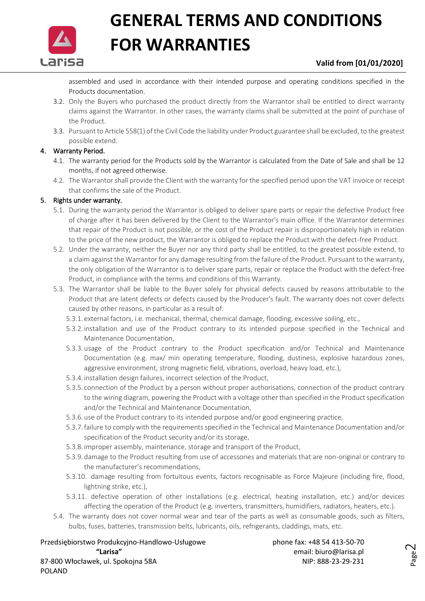

### **Valid from [01/01/2020]**

assembled and used in accordance with their intended purpose and operating conditions specified in the Products documentation.

- 3.2. Only the Buyers who purchased the product directly from the Warrantor shall be entitled to direct warranty claims against the Warrantor. In other cases, the warranty claims shall be submitted at the point of purchase of the Product.
- 3.3. Pursuant to Article 558(1) of the Civil Code the liability under Product guarantee shall be excluded, to the greatest possible extend.

### 4. Warranty Period.

- 4.1. The warranty period for the Products sold by the Warrantor is calculated from the Date of Sale and shall be 12 months, if not agreed otherwise.
- 4.2. The Warrantor shall provide the Client with the warranty for the specified period upon the VAT invoice or receipt that confirms the sale of the Product.

### 5. Rights under warranty.

- 5.1. During the warranty period the Warrantor is obliged to deliver spare parts or repair the defective Product free of charge after it has been delivered by the Client to the Warrantor's main office. If the Warrantor determines that repair of the Product is not possible, or the cost of the Product repair is disproportionately high in relation to the price of the new product, the Warrantor is obliged to replace the Product with the defect-free Product.
- 5.2. Under the warranty, neither the Buyer nor any third party shall be entitled, to the greatest possible extend, to a claim against the Warrantor for any damage resulting from the failure of the Product. Pursuant to the warranty, the only obligation of the Warrantor is to deliver spare parts, repair or replace the Product with the defect-free Product, in compliance with the terms and conditions of this Warranty.
- 5.3. The Warrantor shall be liable to the Buyer solely for physical defects caused by reasons attributable to the Product that are latent defects or defects caused by the Producer's fault. The warranty does not cover defects caused by other reasons, in particular as a result of:
	- 5.3.1. external factors, i.e. mechanical, thermal, chemical damage, flooding, excessive soiling, etc.,
	- 5.3.2. installation and use of the Product contrary to its intended purpose specified in the Technical and Maintenance Documentation,
	- 5.3.3. usage of the Product contrary to the Product specification and/or Technical and Maintenance Documentation (e.g. max/ min operating temperature, flooding, dustiness, explosive hazardous zones, aggressive environment, strong magnetic field, vibrations, overload, heavy load, etc.),
	- 5.3.4. installation design failures, incorrect selection of the Product,
	- 5.3.5. connection of the Product by a person without proper authorisations, connection of the product contrary to the wiring diagram, powering the Product with a voltage other than specified in the Product specification and/or the Technical and Maintenance Documentation,
	- 5.3.6. use of the Product contrary to its intended purpose and/or good engineering practice,
	- 5.3.7.failure to comply with the requirements specified in the Technical and Maintenance Documentation and/or specification of the Product security and/or its storage,
	- 5.3.8. improper assembly, maintenance, storage and transport of the Product,
	- 5.3.9. damage to the Product resulting from use of accessories and materials that are non-original or contrary to the manufacturer's recommendations,
	- 5.3.10. damage resulting from fortuitous events, factors recognisable as Force Majeure (including fire, flood, lightning strike, etc.),
	- 5.3.11. defective operation of other installations (e.g. electrical, heating installation, etc.) and/or devices affecting the operation of the Product (e.g. inverters, transmitters, humidifiers, radiators, heaters, etc.).
- 5.4. The warranty does not cover normal wear and tear of the parts as well as consumable goods, such as filters, bulbs, fuses, batteries, transmission belts, lubricants, oils, refrigerants, claddings, mats, etc.

Przedsiębiorstwo Produkcyjno-Handlowo-Usługowe phone fax: +48 54 413-50-70 **"Larisa"** email: biuro@larisa.pl 87-800 Włocławek, ul. Spokojna 58A NIP: 888-23-29-231

POLAND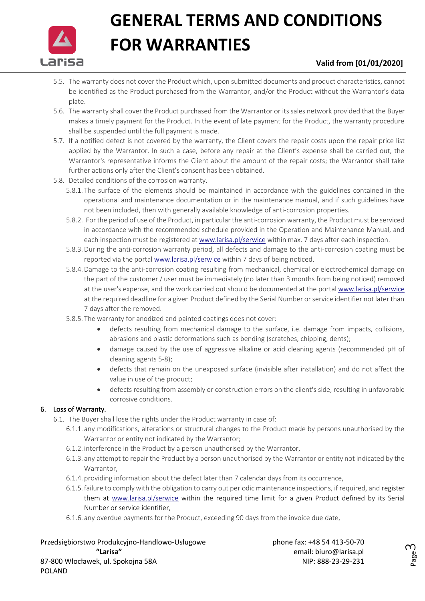

## **Valid from [01/01/2020]**

- 5.5. The warranty does not cover the Product which, upon submitted documents and product characteristics, cannot be identified as the Product purchased from the Warrantor, and/or the Product without the Warrantor's data plate.
- 5.6. The warranty shall cover the Product purchased from the Warrantor or its sales network provided that the Buyer makes a timely payment for the Product. In the event of late payment for the Product, the warranty procedure shall be suspended until the full payment is made.
- 5.7. If a notified defect is not covered by the warranty, the Client covers the repair costs upon the repair price list applied by the Warrantor. In such a case, before any repair at the Client's expense shall be carried out, the Warrantor's representative informs the Client about the amount of the repair costs; the Warrantor shall take further actions only after the Client's consent has been obtained.
- 5.8. Detailed conditions of the corrosion warranty.
	- 5.8.1. The surface of the elements should be maintained in accordance with the guidelines contained in the operational and maintenance documentation or in the maintenance manual, and if such guidelines have not been included, then with generally available knowledge of anti-corrosion properties.
	- 5.8.2. For the period of use of the Product, in particular the anti-corrosion warranty, the Product must be serviced in accordance with the recommended schedule provided in the Operation and Maintenance Manual, and each inspection must be registered at [www.larisa.pl/serwice](http://www.larisa.pl/serwice) within max. 7 days after each inspection.
	- 5.8.3.During the anti-corrosion warranty period, all defects and damage to the anti-corrosion coating must be reported via the portal [www.larisa.pl/serwice](http://www.larisa.pl/serwice) within 7 days of being noticed.
	- 5.8.4.Damage to the anti-corrosion coating resulting from mechanical, chemical or electrochemical damage on the part of the customer / user must be immediately (no later than 3 months from being noticed) removed at the user's expense, and the work carried out should be documented at the portal [www.larisa.pl/serwice](http://www.larisa.pl/serwice) at the required deadline for a given Product defined by the Serial Number or service identifier not later than 7 days after the removed.
	- 5.8.5. The warranty for anodized and painted coatings does not cover:
		- defects resulting from mechanical damage to the surface, i.e. damage from impacts, collisions, abrasions and plastic deformations such as bending (scratches, chipping, dents);
		- damage caused by the use of aggressive alkaline or acid cleaning agents (recommended pH of cleaning agents 5-8);
		- defects that remain on the unexposed surface (invisible after installation) and do not affect the value in use of the product;
		- defects resulting from assembly or construction errors on the client's side, resulting in unfavorable corrosive conditions.

### 6. Loss of Warranty.

- 6.1. The Buyer shall lose the rights under the Product warranty in case of:
	- 6.1.1. any modifications, alterations or structural changes to the Product made by persons unauthorised by the Warrantor or entity not indicated by the Warrantor;
	- 6.1.2. interference in the Product by a person unauthorised by the Warrantor,
	- 6.1.3. any attempt to repair the Product by a person unauthorised by the Warrantor or entity not indicated by the Warrantor,
	- 6.1.4. providing information about the defect later than 7 calendar days from its occurrence,
	- 6.1.5.failure to comply with the obligation to carry out periodic maintenance inspections, if required, and register them at [www.larisa.pl/serwice](http://www.larisa.pl/serwice) within the required time limit for a given Product defined by its Serial Number or service identifier,
	- 6.1.6. any overdue payments for the Product, exceeding 90 days from the invoice due date,

Przedsiębiorstwo Produkcyjno-Handlowo-Usługowe phone fax: +48 54 413-50-70 **"Larisa"** email: biuro@larisa.pl 87-800 Włocławek, ul. Spokojna 58A NIP: 888-23-29-231 POLAND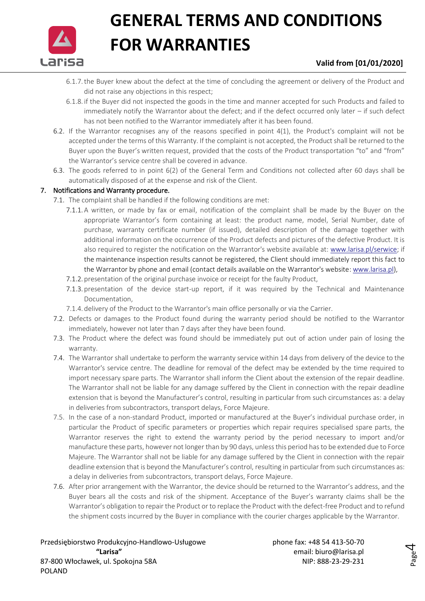

### **Valid from [01/01/2020]**

- 6.1.7.the Buyer knew about the defect at the time of concluding the agreement or delivery of the Product and did not raise any objections in this respect;
- 6.1.8. if the Buyer did not inspected the goods in the time and manner accepted for such Products and failed to immediately notify the Warrantor about the defect; and if the defect occurred only later – if such defect has not been notified to the Warrantor immediately after it has been found.
- 6.2. If the Warrantor recognises any of the reasons specified in point 4(1), the Product's complaint will not be accepted under the terms of this Warranty. If the complaint is not accepted, the Product shall be returned to the Buyer upon the Buyer's written request, provided that the costs of the Product transportation "to" and "from" the Warrantor's service centre shall be covered in advance.
- 6.3. The goods referred to in point 6(2) of the General Term and Conditions not collected after 60 days shall be automatically disposed of at the expense and risk of the Client.

### 7. Notifications and Warranty procedure.

- 7.1. The complaint shall be handled if the following conditions are met:
	- 7.1.1. A written, or made by fax or email, notification of the complaint shall be made by the Buyer on the appropriate Warrantor's form containing at least: the product name, model, Serial Number, date of purchase, warranty certificate number (if issued), detailed description of the damage together with additional information on the occurrence of the Product defects and pictures of the defective Product. It is also required to register the notification on the Warrantor's website available at: [www.larisa.pl/serwice;](http://www.larisa.pl/serwice) if the maintenance inspection results cannot be registered, the Client should immediately report this fact to the Warrantor by phone and email (contact details available on the Warrantor's website: www.larisa.pl),
	- 7.1.2. presentation of the original purchase invoice or receipt for the faulty Product,
	- 7.1.3. presentation of the device start-up report, if it was required by the Technical and Maintenance Documentation,
	- 7.1.4. delivery of the Product to the Warrantor's main office personally or via the Carrier.
- 7.2. Defects or damages to the Product found during the warranty period should be notified to the Warrantor immediately, however not later than 7 days after they have been found.
- 7.3. The Product where the defect was found should be immediately put out of action under pain of losing the warranty.
- 7.4. The Warrantor shall undertake to perform the warranty service within 14 days from delivery of the device to the Warrantor's service centre. The deadline for removal of the defect may be extended by the time required to import necessary spare parts. The Warrantor shall inform the Client about the extension of the repair deadline. The Warrantor shall not be liable for any damage suffered by the Client in connection with the repair deadline extension that is beyond the Manufacturer's control, resulting in particular from such circumstances as: a delay in deliveries from subcontractors, transport delays, Force Majeure.
- 7.5. In the case of a non-standard Product, imported or manufactured at the Buyer's individual purchase order, in particular the Product of specific parameters or properties which repair requires specialised spare parts, the Warrantor reserves the right to extend the warranty period by the period necessary to import and/or manufacture these parts, however not longer than by 90 days, unless this period has to be extended due to Force Majeure. The Warrantor shall not be liable for any damage suffered by the Client in connection with the repair deadline extension that is beyond the Manufacturer's control, resulting in particular from such circumstances as: a delay in deliveries from subcontractors, transport delays, Force Majeure.
- 7.6. After prior arrangement with the Warrantor, the device should be returned to the Warrantor's address, and the Buyer bears all the costs and risk of the shipment. Acceptance of the Buyer's warranty claims shall be the Warrantor's obligation to repair the Product or to replace the Product with the defect-free Product and to refund the shipment costs incurred by the Buyer in compliance with the courier charges applicable by the Warrantor.

Przedsiębiorstwo Produkcyjno-Handlowo-Usługowe phone fax: +48 54 413-50-70 **"Larisa"** email: biuro@larisa.pl 87-800 Włocławek, ul. Spokojna 58A NIP: 888-23-29-231 POLAND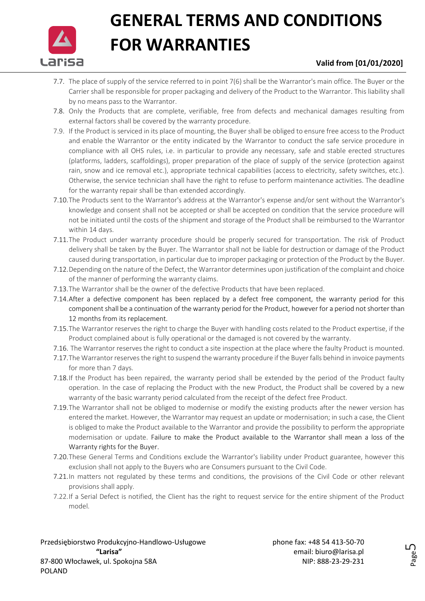

### **Valid from [01/01/2020]**

- 7.7. The place of supply of the service referred to in point 7(6) shall be the Warrantor's main office. The Buyer or the Carrier shall be responsible for proper packaging and delivery of the Product to the Warrantor. This liability shall by no means pass to the Warrantor.
- 7.8. Only the Products that are complete, verifiable, free from defects and mechanical damages resulting from external factors shall be covered by the warranty procedure.
- 7.9. If the Product is serviced in its place of mounting, the Buyer shall be obliged to ensure free access to the Product and enable the Warrantor or the entity indicated by the Warrantor to conduct the safe service procedure in compliance with all OHS rules, i.e. in particular to provide any necessary, safe and stable erected structures (platforms, ladders, scaffoldings), proper preparation of the place of supply of the service (protection against rain, snow and ice removal etc.), appropriate technical capabilities (access to electricity, safety switches, etc.). Otherwise, the service technician shall have the right to refuse to perform maintenance activities. The deadline for the warranty repair shall be than extended accordingly.
- 7.10.The Products sent to the Warrantor's address at the Warrantor's expense and/or sent without the Warrantor's knowledge and consent shall not be accepted or shall be accepted on condition that the service procedure will not be initiated until the costs of the shipment and storage of the Product shall be reimbursed to the Warrantor within 14 days.
- 7.11.The Product under warranty procedure should be properly secured for transportation. The risk of Product delivery shall be taken by the Buyer. The Warrantor shall not be liable for destruction or damage of the Product caused during transportation, in particular due to improper packaging or protection of the Product by the Buyer.
- 7.12.Depending on the nature of the Defect, the Warrantor determines upon justification of the complaint and choice of the manner of performing the warranty claims.
- 7.13.The Warrantor shall be the owner of the defective Products that have been replaced.
- 7.14.After a defective component has been replaced by a defect free component, the warranty period for this component shall be a continuation of the warranty period for the Product, however for a period not shorter than 12 months from its replacement.
- 7.15.The Warrantor reserves the right to charge the Buyer with handling costs related to the Product expertise, if the Product complained about is fully operational or the damaged is not covered by the warranty.
- 7.16. The Warrantor reserves the right to conduct a site inspection at the place where the faulty Product is mounted.
- 7.17.The Warrantor reserves the right to suspend the warranty procedure if the Buyer falls behind in invoice payments for more than 7 days.
- 7.18.If the Product has been repaired, the warranty period shall be extended by the period of the Product faulty operation. In the case of replacing the Product with the new Product, the Product shall be covered by a new warranty of the basic warranty period calculated from the receipt of the defect free Product.
- 7.19.The Warrantor shall not be obliged to modernise or modify the existing products after the newer version has entered the market. However, the Warrantor may request an update or modernisation; in such a case, the Client is obliged to make the Product available to the Warrantor and provide the possibility to perform the appropriate modernisation or update. Failure to make the Product available to the Warrantor shall mean a loss of the Warranty rights for the Buyer.
- 7.20.These General Terms and Conditions exclude the Warrantor's liability under Product guarantee, however this exclusion shall not apply to the Buyers who are Consumers pursuant to the Civil Code.
- 7.21.In matters not regulated by these terms and conditions, the provisions of the Civil Code or other relevant provisions shall apply.
- 7.22.If a Serial Defect is notified, the Client has the right to request service for the entire shipment of the Product model.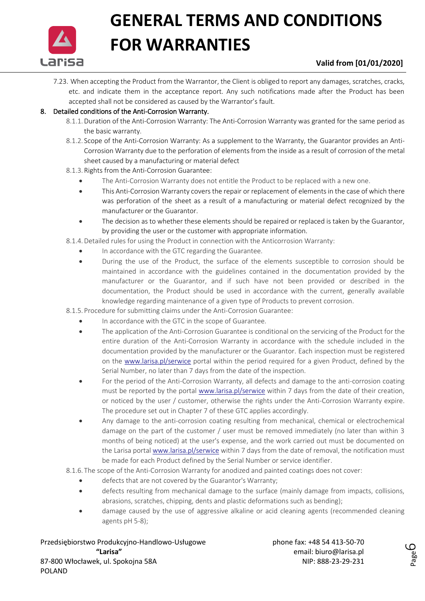

### **Valid from [01/01/2020]**

7.23. When accepting the Product from the Warrantor, the Client is obliged to report any damages, scratches, cracks, etc. and indicate them in the acceptance report. Any such notifications made after the Product has been accepted shall not be considered as caused by the Warrantor's fault.

### 8. Detailed conditions of the Anti-Corrosion Warranty.

- 8.1.1.Duration of the Anti-Corrosion Warranty: The Anti-Corrosion Warranty was granted for the same period as the basic warranty.
- 8.1.2. Scope of the Anti-Corrosion Warranty: As a supplement to the Warranty, the Guarantor provides an Anti-Corrosion Warranty due to the perforation of elements from the inside as a result of corrosion of the metal sheet caused by a manufacturing or material defect
- 8.1.3. Rights from the Anti-Corrosion Guarantee:
	- The Anti-Corrosion Warranty does not entitle the Product to be replaced with a new one.
	- This Anti-Corrosion Warranty covers the repair or replacement of elements in the case of which there was perforation of the sheet as a result of a manufacturing or material defect recognized by the manufacturer or the Guarantor.
	- The decision as to whether these elements should be repaired or replaced is taken by the Guarantor, by providing the user or the customer with appropriate information.
- 8.1.4.Detailed rules for using the Product in connection with the Anticorrosion Warranty:
	- In accordance with the GTC regarding the Guarantee.
	- During the use of the Product, the surface of the elements susceptible to corrosion should be maintained in accordance with the guidelines contained in the documentation provided by the manufacturer or the Guarantor, and if such have not been provided or described in the documentation, the Product should be used in accordance with the current, generally available knowledge regarding maintenance of a given type of Products to prevent corrosion.
- 8.1.5. Procedure for submitting claims under the Anti-Corrosion Guarantee:
	- In accordance with the GTC in the scope of Guarantee.
	- The application of the Anti-Corrosion Guarantee is conditional on the servicing of the Product for the entire duration of the Anti-Corrosion Warranty in accordance with the schedule included in the documentation provided by the manufacturer or the Guarantor. Each inspection must be registered on the [www.larisa.pl/serwice](http://www.larisa.pl/serwice) portal within the period required for a given Product, defined by the Serial Number, no later than 7 days from the date of the inspection.
	- For the period of the Anti-Corrosion Warranty, all defects and damage to the anti-corrosion coating must be reported by the portal [www.larisa.pl/serwice](http://www.larisa.pl/serwice) within 7 days from the date of their creation, or noticed by the user / customer, otherwise the rights under the Anti-Corrosion Warranty expire. The procedure set out in Chapter 7 of these GTC applies accordingly.
	- Any damage to the anti-corrosion coating resulting from mechanical, chemical or electrochemical damage on the part of the customer / user must be removed immediately (no later than within 3 months of being noticed) at the user's expense, and the work carried out must be documented on the Larisa portal [www.larisa.pl/serwice](http://www.larisa.pl/serwice) within 7 days from the date of removal, the notification must be made for each Product defined by the Serial Number or service identifier.

8.1.6. The scope of the Anti-Corrosion Warranty for anodized and painted coatings does not cover:

- defects that are not covered by the Guarantor's Warranty;
- defects resulting from mechanical damage to the surface (mainly damage from impacts, collisions, abrasions, scratches, chipping, dents and plastic deformations such as bending);
- damage caused by the use of aggressive alkaline or acid cleaning agents (recommended cleaning agents pH 5-8);

Przedsiębiorstwo Produkcyjno-Handlowo-Usługowe phone fax: +48 54 413-50-70 **"Larisa"** email: biuro@larisa.pl 87-800 Włocławek, ul. Spokojna 58A NIP: 888-23-29-231 POLAND